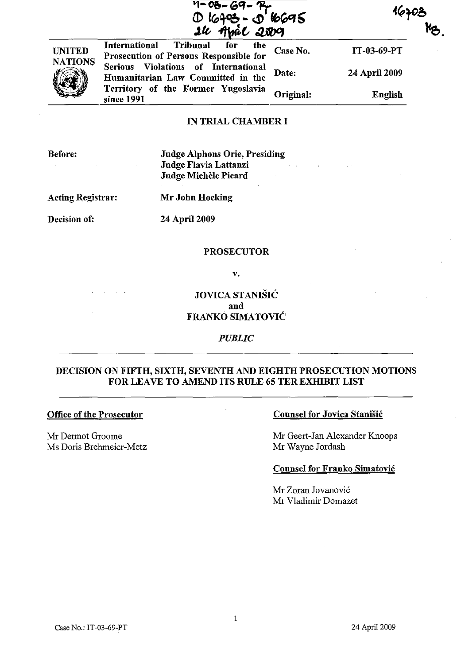|                | 16403 - 56695<br>26 April 2009                                                    |           |               |
|----------------|-----------------------------------------------------------------------------------|-----------|---------------|
| <b>UNITED</b>  | International<br>Tribunal<br>for<br>the<br>Prosecution of Persons Responsible for | Case No.  | IT-03-69-PT   |
| <b>NATIONS</b> | Serious Violations of International<br>Humanitarian Law Committed in the          | Date:     | 24 April 2009 |
|                | Territory of the Former Yugoslavia<br>since 1991                                  | Original: | English       |

#### IN TRIAL CHAMBER I

Before:

Judge Alphons Orie, Presiding Judge Flavia Lattanzi Judge Michèle Picard

Acting Registrar: Mr John Hocking

Decision of: 24 April 2009

#### PROSECUTOR

v.

JOVICA STANIŠIĆ and FRANKO SIMATOVIC

### *PUBLIC*

### DECISION ON FIFTH, SIXTH, SEVENTH AND EIGHTH PROSECUTION MOTIONS FOR LEAVE TO AMEND ITS RULE 65 TER EXHIBIT LIST

#### Office of the Prosecutor

Mr Dermot Groome Ms Doris Brehrneier-Metz

### Counsel for Jovica Stanisic

Mr Geert-Jan Alexander Knoops Mr Wayne Jordash

#### Counsel for Franko Simatovic

Mr Zoran Jovanovic Mr Vladimir Domazet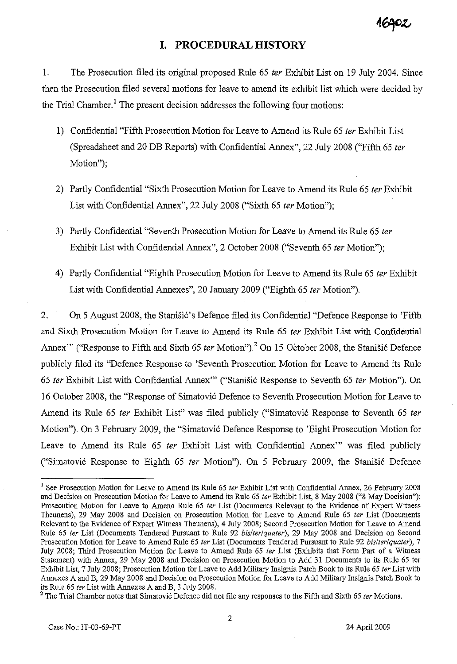# **I. PROCEDURAL HISTORY**

1. The Prosecution filed its original proposed Rule 65 *ter* Exhibit List on 19 July 2004. Since then the Prosecution filed several motions for leave to amend its exhibit list which were decided by the Trial Chamber.<sup>1</sup> The present decision addresses the following four motions:

- 1) Confidential "Fifth Prosecution Motion for Leave to Amend its Rule 65 *ter* Exhibit List (Spreadsheet and 20 DB Reports) with Confidential Annex", 22 July 2008 ("Fifth 65 *ter*  Motion");
- 2) Partly Confidential "Sixth Prosecution Motion for Leave to Amend its Rule 65 *ter* Exhibit List with Confidential Annex", 22 July 2008 ("Sixth 65 *ter* Motion");
- 3) Partly Confidential "Seventh Prosecution Motion for Leave to Amend its Rule 65 *ter*  Exhibit List with Confidential Annex", 2 October 2008 ("Seventh 65 *ter* Motion");
- 4) Partly Confidential "Eighth Prosecution Motion for Leave to Amend its Rule 65 *ter* Exhibit List with Confidential Annexes", 20 January 2009 ("Eighth 65 *ter* Motion").

2. On 5 August 2008, the Stanisic's Defence filed its Confidential "Defence Response to 'Fifth and Sixth Prosecution Molion for Leave to Amend its Rule 65 *ter* Exhibit List with Confidential Annex'" ("Response to Fifth and Sixth 65 *ter* Motion").<sup>2</sup> On 15 October 2008, the Stanisic Defence publicly filed its "Defence Response to 'Seventh Prosecution Motion for Leave to Amend its Rule *65 ter* Exhibit List with Confidential Annex'" ("Stanisi6 Response to Seventh 65 *ter* Motion"). On 16 October 2008, the "Response of Simatovi6 Defence to Seventh Prosecution Motion for Leave to Amend its Rule 65 *ter* Exhibit List" was filed publicly ("Simatović Response to Seventh 65 *ter* Motion"). On 3 February 2009, the "Simatovi6 Defence Response to 'Eight Prosecution Motion for Leave to Amend its Rule 65 *ter* Exhibit List with Confidential Annex'" was filed publicly ("Simatovi6 Response to Eighth 65 *ter* Motion"). On 5 February 2009, the Stanisi6 Defence

<sup>1</sup> See Prosecution Motion for Leave to Amend its Rule 65 *ter* Exhibit List with Confidential Annex, 26 February 2008 and Decision on Prosecution Motion for Leave to Amend its Rule 65 *ter* Exhibit List, 8 May 2008 ("8 May Decision"); Prosecution Motion for Leave to Amend Rule 65 *ter* List (Documents Relevant to the Evidence of Expert Witness Theunens), 29 May 2008 and Decision on Prosecution Motion for Leave to Amend Rule 65 *ter* List (Documents Relevant to the Evidence of Expert Witness Theunens), 4 July 2008; Second Prosecution Motion for Leave to Amend Rule 65 *ter* List (Documents Tendered Pursuant to Rule 92 *bis/ter/quater),* 29 May 2008 and Decision on Second Prosecution Motion for Leave to Amend Rule 65 *ter* List (Documents Tendered Pursuant to Rule 92 *bis/ter/quater), 7*  July 2008; Third Prosecution Motion for Leave to Amend Rule 65 *ter* List (Exhibits that Form Part of a Witness Statement) with Annex, 29 May 2008 and Decision on Prosecution Motion to Add 31 Documents to its Rule 65 ter Exhibit List, 7 July 2008; Prosecution Motion for Leave to Add Military Insignia Patch Book to its Rule 65 *ter* List with Annexes A and B, 29 May 2008 and Decision on Prosecution Motion for Leave to Add Military Insignia Patch Book to its Rule 65 *ter* List with Annexes A and B, 3 July 2008.

<sup>&</sup>lt;sup>2</sup> The Trial Chamber notes that Simatović Defence did not file any responses to the Fifth and Sixth 65 *ter* Motions.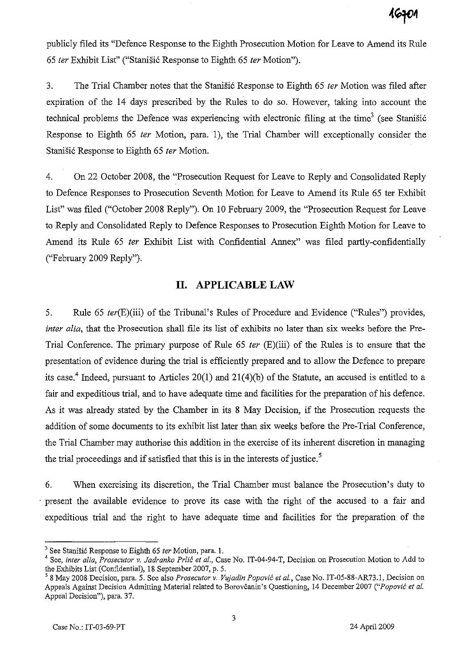publicly filed its "Defence Response to the Eighth Prosecution Motion for Leave to Amend its Rule *65 ter* Exhibit List" ("Stanisi6 Response to Eighth 65 *ter* Motion").

3. The Trial Chamber notes that the Stanisi6 Response to Eighth 65 *ter* Motion was filed after expiration of the 14 days prescribed by the Rules to do so. However, taking into account the technical problems the Defence was experiencing with electronic filing at the time<sup>3</sup> (see Stanistic Response to Eighth 65 *ter* Motion, para. 1), the Trial Chamber will exceptionally consider the Stanišić Response to Eighth 65 *ter* Motion.

4. On 22 October 2008, the "Prosecution Request for Leave to Reply and Consolidated Reply to Defence Responses to Prosecution Seventh Motion for Leave to Amend its Rule 65 ter Exhibit List" was filed ("October 2008 Reply"). On 10 February 2009, the "Prosecution Request for Leave to Reply and Consolidated Reply to Defence Responses to Prosecution Eighth Motion for Leave to Amend its Rule 65 *ter* Exhibit List with Confidential Annex" was filed partly-confidentially ("February 2009 Reply").

## **II. APPLICABLE LAW**

5. Rule 65 *ter(E)(iii)* of the Tribunal's Rules of Procedure and Evidence ("Rules") provides, *inter alia,* that the Prosecution shall file its list of exhibits no later than six weeks before the Pre-Trial Conference. The primary purpose of Rule 65 *ter* (E)(iii) of the Rules is to ensure that the presentation of evidence during the trial is efficiently prepared and to allow the Defence to prepare its case.<sup>4</sup> Indeed, pursuant to Articles 20(1) and 21(4)(b) of the Statute, an accused is entitled to a fair and expeditious trial, and to have adequate time and facilities for the preparation of his defence. As it was already stated by the Chamber in its 8 May Decision, if the Prosecution requests the addition of some documents to its exhibit list later than six weeks before the Pre-Trial Conference, the Trial Chamber may authorise this addition in the exercise of its inherent discretion in managing the trial proceedings and if satisfied that this is in the interests of justice.<sup>5</sup>

6. When exercising its discretion, the Trial Chamber must balance the Prosecution's duty to . present the available evidence to prove its case with the right of the accused to a fair and expeditious trial and the right to have adequate time and facilities for the preparation of the

<sup>&</sup>lt;sup>3</sup> See Stanišić Response to Eighth 65 *ter* Motion, para. 1.

<sup>&</sup>lt;sup>4</sup> See, *inter alia, Prosecutor v. Jadranko Prlić et al.*, Case No. IT-04-94-T, Decision on Prosecution Motion to Add to the Exhibits List (Confidential), 18 September 2007, p. 5.

<sup>58</sup> May 2008 Decision, para. 5. See also *Prosecutor v. Vujadin Popov;c et aI.,* Case No. IT-05-88-AR73.1, Decision on Appeals Against Decision Admitting Material related to Borovčanin's Questioning, 14 December 2007 ("Popović et al. Appeal Decision"), para. 37.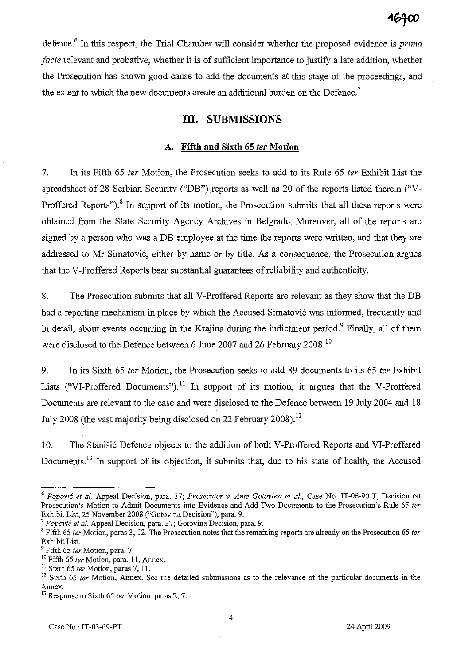defence.<sup>6</sup> In this respect, the Trial Chamber will consider whether the proposed evidence is *prima facie* relevant and probative, whether it is of sufficient importance to justify a late addition, whether the Prosecution has shown good cause to add the documents at this stage of the proceedings, and the extent to which the new documents create an additional burden on the Defence.<sup>7</sup>

# **III. SUBMISSIONS**

### **A. Fifth and Sixth 65 fer Motion**

7. In its Fifth 65 *ter* Motion, the Prosecution seeks to add to its Rule 65 *ter* Exhibit List the spreadsheet of 28 Serbian Security ("DB") reports as well as 20 of the reports listed therein ("V-Proffered Reports").<sup>8</sup> In support of its motion, the Prosecution submits that all these reports were obtained from the State Security Agency Archives in Belgrade. Moreover, all of the reports are signed by a person who was a DB employee at the time the reports were written, and that they are addressed to Mr Simatović, either by name or by title. As a consequence, the Prosecution argues that the V-Proffered Reports bear substantial guarantees of reliability and authenticity.

8. The Prosecution submits that all V-Proffered Reports are relevant as they show that the DB had a reporting mechanism in place by which the Accused Simatović was informed, frequently and in detail, about events occurring in the Krajina during the indictment period.<sup>9</sup> Finally, all of them were disclosed to the Defence between 6 June 2007 and 26 February 2008.<sup>10</sup>

9. In its Sixth 65 *ter* Motion, the Prosecution seeks to add 89 documents to its 65 *ter* Exhibit Lists ("VI-Proffered Documents").<sup>11</sup> In support of its motion, it argues that the V-Proffered Documents are relevant to the case and were disclosed to the Defence between 19 July 2004 and 18 July 2008 (the vast majority being disclosed on 22 February 2008).<sup>12</sup>

10. The Stanisic Defence objects to the addition of both V-Proffered Reports and VI-Proffered Documents.13 In support of its objection, it submits that, due to his state of health, the Accused

*<sup>6</sup> Popovic el al.* Appeal Decision, para. 37; *Proseculor* v. *Anle Golovina el ai.,* Case No. IT-06-90-T, Decision on Prosecution's Motion to Admit Documents into Evidence and Add Two Documents to the Prosecution's Rule 65 ter Exhibit List, 25 November 2008 ("Gotovina Decision"), para. 9.

*<sup>7</sup> Popovic el al.* Appeal Decision, para. 37; Gotovina Decision, para. 9.

<sup>8</sup> Fifth 65 *ler* Motion, paras 3, 12. The Prosecution notes that the remaining reports are already on the Prosecution 65 *ler*  Exhibit List.

<sup>9</sup> Fifth 65 *ler* Motion, para. 7.

<sup>10</sup> Fifth 65 *ler* Motion, para. 11, Annex.

<sup>11</sup> Sixth 65 *ler* Motion, paras 7, 11.

<sup>&</sup>lt;sup>12</sup> Sixth 65 *ter* Motion, Annex. See the detailed submissions as to the relevance of the particular documents in the Annex.

<sup>13</sup> Response to Sixth 65 *ler* Motion, paras 2, 7.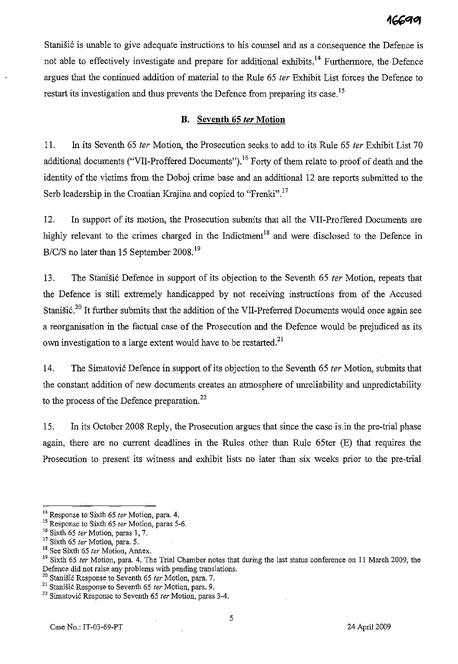Stanišić is unable to give adequate instructions to his counsel and as a consequence the Defence is not able to effectively investigate and prepare for additional exhibits.<sup>14</sup> Furthermore, the Defence argues that the continued addition of material to the Rule 65 fer Exhibit List forces the Defence to restart its investigation and thus prevents the Defence from preparing its case.<sup>15</sup>

### **B. Seventh 65** fer **Motion**

11. In its Seventh 65 fer Motion, the Prosecution seeks to add to its Rule 65 fer Exhibit List 70 additional documents ("VII-Proffered Documents").<sup>16</sup> Forty of them relate to proof of death and the identity of the victims from the Doboj crime base and an additional 12 are reports submitted to the Serb leadership in the Croatian Krajina and copied to "Frenki".<sup>17</sup>

12. In support of its motion, the Prosecution submits that all the VII-Proffered Documents are highly relevant to the crimes charged in the Indictment<sup>18</sup> and were disclosed to the Defence in *B/c/S* no later than 15 September 2008. <sup>19</sup>

13. The Stanisic Defence in support of its objection to the Seventh 65 *ter* Motion, repeats that the Defence is still extremely handicapped by not receiving instructions from of the Accused Stanišić.<sup>20</sup> It further submits that the addition of the VII-Preferred Documents would once again see a reorganisation in the factual case of the Prosecution and the Defence would be prejudiced as its own investigation to a large extent would have to be restarted.<sup>21</sup>

14. The Simatović Defence in support of its objection to the Seventh 65 *ter* Motion, submits that the constant addition of new documents creates an atmosphere of unreliability and unpredictability to the process of the Defence preparation. $^{22}$ 

15. In its October 2008 Reply, the Prosecution argues that since the case is in the pre-trial phase again, there are no current deadlines in the Rules other than Rule 65ter (E) that requires the Prosecution to present its witness and exhibit lists no later than six weeks prior to the pre-trial

<sup>&</sup>lt;sup>14</sup> Response to Sixth 65 ter Motion, para. 4.

<sup>&</sup>lt;sup>15</sup> Response to Sixth 65 ter Motion, paras 5-6.

<sup>&</sup>lt;sup>16</sup> Sixth 65 ter Motion, paras 1, 7.

 $17$  Sixth 65 ter Motion, para. 5.

 $^{18}$  See Sixth 65 *ter* Motion, Annex.

<sup>&</sup>lt;sup>19</sup> Sixth 65 ter Motion, para. 4. The Trial Chamber notes that during the last status conference on 11 March 2009, the Defence did not raise any problems with pending translations.

<sup>&</sup>lt;sup>20</sup> Stanišić Response to Seventh 65 ter Motion, para. 7.

<sup>&</sup>lt;sup>21</sup> Stanišić Response to Seventh 65 ter Motion, para. 9.

 $22$  Simatović Response to Seventh 65 ter Motion, paras 3-4.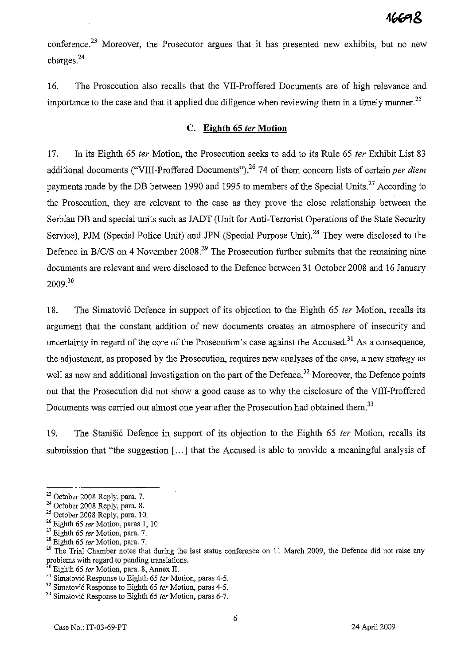conference.<sup>23</sup> Moreover, the Prosecutor argues that it has presented new exhibits, but no new charges.<sup>24</sup>

16. The Prosecution also recalls that the VII-Proffered Documents are of high relevance and importance to the case and that it applied due diligence when reviewing them in a timely manner.<sup>25</sup>

### c. **Eighth 6S** fer **Motion**

17. In its Eighth 65 *ter* Motion, the Prosecution seeks to add to its Rule 65 *ter* Exhibit List 83 additional documents ("VIII-Proffered Documents").<sup>26</sup> 74 of them concern lists of certain *per diem* payments made by the DB between 1990 and 1995 to members of the Special Units.<sup>27</sup> According to the Prosecution, they are relevant to the case as they prove the close relationship between the Serbian DB and special units such as JADT (Unit for Anti-Terrorist Operations of the State Security Service), PJM (Special Police Unit) and JPN (Special Purpose Unit).<sup>28</sup> They were disclosed to the Defence in *B/C/S* on 4 November 2008.<sup>29</sup> The Prosecution further submits that the remaining nine documents are relevant and were disclosed to the Defence between 31 October 2008 and 16 January  $2009.<sup>30</sup>$ 

18. The Simatovi6 Defence in support of its objection to the Eighth 65 *ter* Motion, recalls its argument that the constant addition of new documents creates an atmosphere of insecurity and uncertainty in regard of the core of the Prosecution's case against the Accused.<sup>31</sup> As a consequence, the adjustment, as proposed by the Prosecution, requires new analyses of the case, a new strategy as well as new and additional investigation on the part of the Defence.<sup>32</sup> Moreover, the Defence points out that the Prosecution did not show a good cause as to why the disclosure of the VIII-Proffered Documents was carried out almost one year after the Prosecution had obtained them.<sup>33</sup>

19. The Stanisi6 Defence in support of its objection to the Eighth 65 *ter* Motion, recalls its submission that "the suggestion [...] that the Accused is able to provide a meaningful analysis of

<sup>&</sup>lt;sup>23</sup> October 2008 Reply, para. 7.

<sup>24</sup> October 2008 Reply, para. 8.

<sup>&</sup>lt;sup>25</sup> October 2008 Reply, para. 10.

 $26$  Eighth 65 ter Motion, paras 1, 10.

 $27$  Eighth 65 ter Motion, para. 7.

 $28$  Eighth 65 ter Motion, para. 7.

<sup>&</sup>lt;sup>29</sup> The Trial Chamber notes that during the last status conference on 11 March 2009, the Defence did not raise any problems with regard to pending translations.

<sup>&</sup>lt;sup>30</sup> Eighth 65 ter Motion, para. 8, Annex II.

 $31$  Simatovic Response to Eighth 65 ter Motion, paras 4-5.

 $32$  Simatovic Response to Eighth 65 ter Motion, paras 4-5.

<sup>&</sup>lt;sup>33</sup> Simatović Response to Eighth 65 ter Motion, paras 6-7.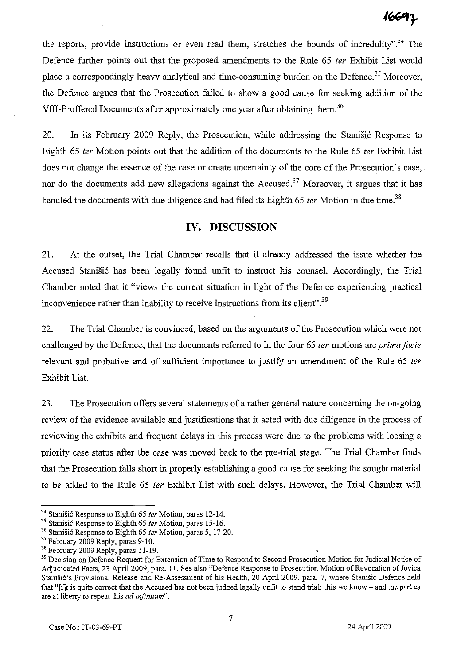the reports, provide instructions or even read them, stretches the bounds of incredulity".<sup>34</sup> The Defence further points out that the proposed amendments to the Rule 65 *ter* Exhibit List would place a correspondingly heavy analytical and time-consuming burden on the Defence.<sup>35</sup> Moreover, the Defence argues that the Prosecution failed to show a good cause for seeking addition of the VIII-Proffered Documents after approximately one year after obtaining them.<sup>36</sup>

20. In its February 2009 Reply, the Prosecution, while addressing the Stanistic Response to Eighth 65 fer Motion points out that the addition of the documents to the Rule 65 fer Exhibit List does not change the essence of the case or create uncertainty of the core of the Prosecution's case, nor do the documents add new allegations against the Accused.<sup>37</sup> Moreover, it argues that it has handled the documents with due diligence and had filed its Eighth 65 ter Motion in due time.<sup>38</sup>

# **IV. DISCUSSION**

21. At the outset, the Trial Chamber recalls that it already addressed the issue whether the Accused Stanišić has been legally found unfit to instruct his counsel. Accordingly, the Trial Chamber noted that it "views the current situation in light of the Defence experiencing practical inconvenience rather than inability to receive instructions from its client".<sup>39</sup>

22. The Trial Chamber is convinced, based on the arguments of the Prosecution which were not challenged by the Defence, that the documents referred to in the four 65 ter motions are *prima facie* relevant and probative and of sufficient importance to justify an amendment of the Rule 65 ter Exhibit List.

23. The Prosecution offers several statements of a rather general nature concerning the on-going review of the evidence available and justifications that it acted with due diligence in the process of reviewing the exhibits and frequent delays in this process were due to the problems with loosing a priority case status after the case was moved back to the pre-trial stage. The Trial Chamber finds that the Prosecution falls short in properly establishing a good cause for seeking the sought material to be added to the Rule 65 fer Exhibit List with such delays. However, the Trial Chamber will

<sup>34</sup> Stanisic Response to Eighth 65 *ter* Motion, paras 12-14.

<sup>35</sup> Stanisic Response to Eighth 65 *ter* Motion, paras 15-16.

<sup>&</sup>lt;sup>36</sup> Stanišić Response to Eighth 65 *ter* Motion, paras 5, 17-20.

<sup>&</sup>lt;sup>37</sup> February 2009 Reply, paras 9-10.

<sup>&</sup>lt;sup>38</sup> February 2009 Reply, paras 11-19.

<sup>&</sup>lt;sup>39</sup> Decision on Defence Request for Extension of Time to Respond to Second Prosecution Motion for Judicial Notice of Adjudicated Facts, 23 April 2009, para. II. See also "Defence Response to Prosecution Motion of Revocation of Jovica Stanišić's Provisional Release and Re-Assessment of his Health, 20 April 2009, para. 7, where Stanišić Defence held that "[ilt is quite correct that the Accused has not been judged legally unfit to stand trial: this we know - and the parties are at liberty to repeat this *ad infinitum".*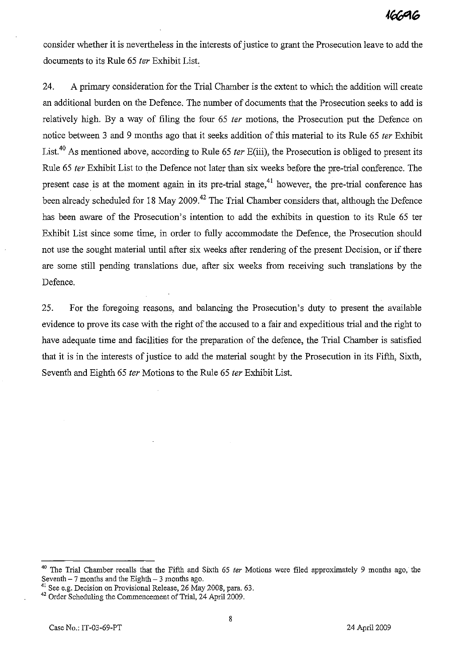consider whether it is nevertheless in the interests of justice to grant the Prosecution leave to add the documents to its Rule 65 fer Exhibit List.

24. A primary consideration for the Trial Chamber is the extent to which the addition will create an additional burden on the Defence. The number of documents that the Prosecution seeks to add is relatively high. By a way of filing the four 65 *ter* motions, the Prosecution put the Defence on notice between 3 and 9 months ago that it seeks addition of this material to its Rule 65 *ter* Exhibit List.<sup>40</sup> As mentioned above, according to Rule 65 *ter* E(iii), the Prosecution is obliged to present its Rule 65 fer Exhibit List to the Defence not later than six weeks before the pre-trial conference. The present case is at the moment again in its pre-trial stage,<sup>41</sup> however, the pre-trial conference has been already scheduled for 18 May 2009.<sup>42</sup> The Trial Chamber considers that, although the Defence has been aware of the Prosecution's intention to add the exhibits in question to its Rule 65 ter Exhibit List since some time, in order to fully accommodate the Defence, the Prosecution should not use the sought material until after six weeks after rendering of the present Decision, or if there are some still pending translations due, after six weeks from receiving such translations by the Defence.

25. For the foregoing reasons, and balancing the Prosecution's duty to present the available evidence to prove its case with the right of the accused to a fair and expeditious trial and the right to have adequate time and facilities for the preparation of the defence, the Trial Chamber is satisfied that it is in the interests of justice to add the material sought by the Prosecution in its Fifth, Sixth, Seventh and Eighth 65 fer Motions to the Rule 65 fer Exhibit List.

<sup>40</sup> The Trial Chamber recalls that the Fifth and Sixth 65 *ter* Motions were filed approximately 9 months ago, the Seventh  $-7$  months and the Eighth  $-3$  months ago.

<sup>&</sup>lt;sup>41</sup> See e.g. Decision on Provisional Release, 26 May 2008, para. 63.

<sup>&</sup>lt;sup>42</sup> Order Scheduling the Commencement of Trial, 24 April 2009.